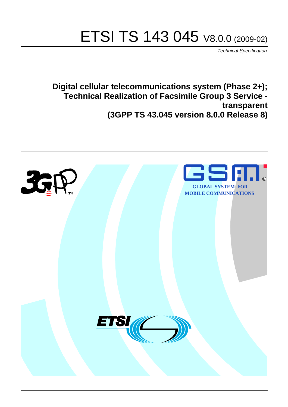# ETSI TS 143 045 V8.0.0 (2009-02)

*Technical Specification*

**Digital cellular telecommunications system (Phase 2+); Technical Realization of Facsimile Group 3 Service transparent (3GPP TS 43.045 version 8.0.0 Release 8)**

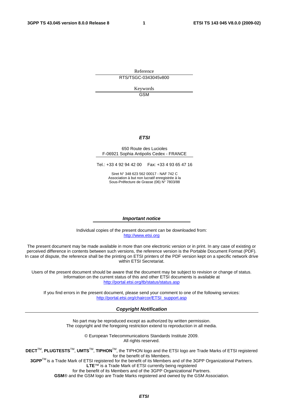Reference RTS/TSGC-0343045v800

> Keywords GSM

#### *ETSI*

#### 650 Route des Lucioles F-06921 Sophia Antipolis Cedex - FRANCE

Tel.: +33 4 92 94 42 00 Fax: +33 4 93 65 47 16

Siret N° 348 623 562 00017 - NAF 742 C Association à but non lucratif enregistrée à la Sous-Préfecture de Grasse (06) N° 7803/88

#### *Important notice*

Individual copies of the present document can be downloaded from: [http://www.etsi.org](http://www.etsi.org/)

The present document may be made available in more than one electronic version or in print. In any case of existing or perceived difference in contents between such versions, the reference version is the Portable Document Format (PDF). In case of dispute, the reference shall be the printing on ETSI printers of the PDF version kept on a specific network drive within ETSI Secretariat.

Users of the present document should be aware that the document may be subject to revision or change of status. Information on the current status of this and other ETSI documents is available at <http://portal.etsi.org/tb/status/status.asp>

If you find errors in the present document, please send your comment to one of the following services: [http://portal.etsi.org/chaircor/ETSI\\_support.asp](http://portal.etsi.org/chaircor/ETSI_support.asp)

#### *Copyright Notification*

No part may be reproduced except as authorized by written permission. The copyright and the foregoing restriction extend to reproduction in all media.

> © European Telecommunications Standards Institute 2009. All rights reserved.

**DECT**TM, **PLUGTESTS**TM, **UMTS**TM, **TIPHON**TM, the TIPHON logo and the ETSI logo are Trade Marks of ETSI registered for the benefit of its Members.

**3GPP**TM is a Trade Mark of ETSI registered for the benefit of its Members and of the 3GPP Organizational Partners. **LTE**™ is a Trade Mark of ETSI currently being registered

for the benefit of its Members and of the 3GPP Organizational Partners.

**GSM**® and the GSM logo are Trade Marks registered and owned by the GSM Association.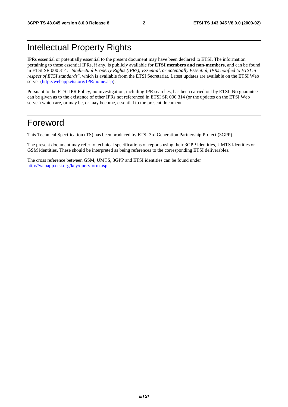# Intellectual Property Rights

IPRs essential or potentially essential to the present document may have been declared to ETSI. The information pertaining to these essential IPRs, if any, is publicly available for **ETSI members and non-members**, and can be found in ETSI SR 000 314: *"Intellectual Property Rights (IPRs); Essential, or potentially Essential, IPRs notified to ETSI in respect of ETSI standards"*, which is available from the ETSI Secretariat. Latest updates are available on the ETSI Web server [\(http://webapp.etsi.org/IPR/home.asp\)](http://webapp.etsi.org/IPR/home.asp).

Pursuant to the ETSI IPR Policy, no investigation, including IPR searches, has been carried out by ETSI. No guarantee can be given as to the existence of other IPRs not referenced in ETSI SR 000 314 (or the updates on the ETSI Web server) which are, or may be, or may become, essential to the present document.

# Foreword

This Technical Specification (TS) has been produced by ETSI 3rd Generation Partnership Project (3GPP).

The present document may refer to technical specifications or reports using their 3GPP identities, UMTS identities or GSM identities. These should be interpreted as being references to the corresponding ETSI deliverables.

The cross reference between GSM, UMTS, 3GPP and ETSI identities can be found under [http://webapp.etsi.org/key/queryform.asp.](http://webapp.etsi.org/key/queryform.asp)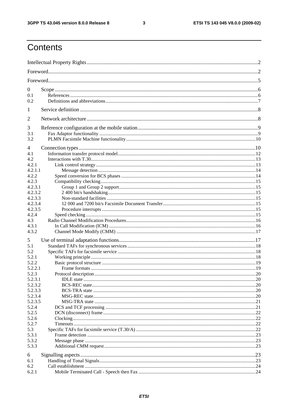$\mathbf{3}$ 

# Contents

| $\mathbf{0}$<br>0.1<br>0.2                                     |            |  |  |  |
|----------------------------------------------------------------|------------|--|--|--|
| 1                                                              |            |  |  |  |
| 2                                                              |            |  |  |  |
| 3<br>3.1<br>3.2                                                |            |  |  |  |
| 4<br>4.1<br>4.2<br>4.2.1<br>4.2.1.1                            |            |  |  |  |
| 4.2.2<br>4.2.3<br>4.2.3.1<br>4.2.3.2                           |            |  |  |  |
| 4.2.3.3<br>4.2.3.4<br>4.2.3.5<br>4.2.4                         |            |  |  |  |
| 4.3<br>4.3.1<br>4.3.2                                          |            |  |  |  |
| 5<br>5.1<br>5.2<br>5.2.1<br>5.2.2                              |            |  |  |  |
| 5.2.2.1<br>5.2.3<br>Protocol description<br>5.2.3.1<br>5.2.3.2 | $\cdot$ 20 |  |  |  |
| 5.2.3.3<br>5.2.3.4<br>5.2.3.5<br>5.2.4                         |            |  |  |  |
| 5.2.5<br>5.2.6<br>5.2.7                                        |            |  |  |  |
| 5.3<br>5.3.1<br>5.3.2<br>5.3.3                                 |            |  |  |  |
| 6<br>6.1<br>6.2<br>6.2.1                                       |            |  |  |  |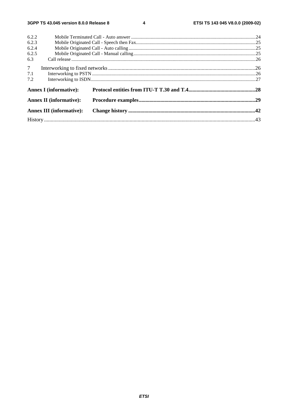$\overline{\mathbf{4}}$ 

| 6.2.2          |                                 |  |  |  |  |
|----------------|---------------------------------|--|--|--|--|
| 6.2.3          |                                 |  |  |  |  |
| 6.2.4          |                                 |  |  |  |  |
| 6.2.5          |                                 |  |  |  |  |
| 6.3            |                                 |  |  |  |  |
| 7 <sup>7</sup> |                                 |  |  |  |  |
| 7.1            |                                 |  |  |  |  |
| 7.2            |                                 |  |  |  |  |
|                | <b>Annex I</b> (informative):   |  |  |  |  |
|                | <b>Annex II (informative):</b>  |  |  |  |  |
|                | <b>Annex III (informative):</b> |  |  |  |  |
|                |                                 |  |  |  |  |
|                |                                 |  |  |  |  |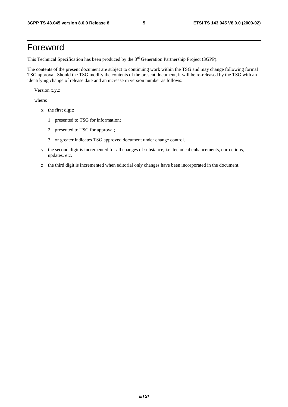# Foreword

This Technical Specification has been produced by the 3<sup>rd</sup> Generation Partnership Project (3GPP).

The contents of the present document are subject to continuing work within the TSG and may change following formal TSG approval. Should the TSG modify the contents of the present document, it will be re-released by the TSG with an identifying change of release date and an increase in version number as follows:

Version x.y.z

where:

- x the first digit:
	- 1 presented to TSG for information;
	- 2 presented to TSG for approval;
	- 3 or greater indicates TSG approved document under change control.
- y the second digit is incremented for all changes of substance, i.e. technical enhancements, corrections, updates, etc.
- z the third digit is incremented when editorial only changes have been incorporated in the document.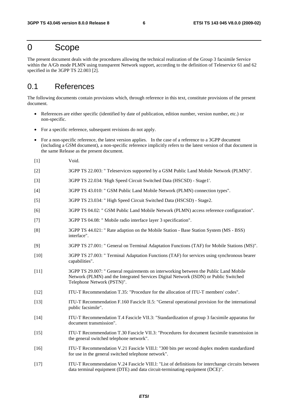# 0 Scope

The present document deals with the procedures allowing the technical realization of the Group 3 facsimile Service within the A/Gb mode PLMN using transparent Network support, according to the definition of Teleservice 61 and 62 specified in the 3GPP TS 22.003 [2].

# 0.1 References

The following documents contain provisions which, through reference in this text, constitute provisions of the present document.

- References are either specific (identified by date of publication, edition number, version number, etc.) or non-specific.
- For a specific reference, subsequent revisions do not apply.
- For a non-specific reference, the latest version applies. In the case of a reference to a 3GPP document (including a GSM document), a non-specific reference implicitly refers to the latest version of that document in the same Release as the present document.
- [1] Void.
- [2] 3GPP TS 22.003: " Teleservices supported by a GSM Public Land Mobile Network (PLMN)".
- [3] 3GPP TS 22.034: 'High Speed Circuit Switched Data (HSCSD) Stage1'.
- [4] 3GPP TS 43.010: " GSM Public Land Mobile Network (PLMN) connection types".
- [5] 3GPP TS 23.034: " High Speed Circuit Switched Data (HSCSD) Stage2.
- [6] 3GPP TS 04.02: " GSM Public Land Mobile Network (PLMN) access reference configuration".
- [7] 3GPP TS 04.08: " Mobile radio interface layer 3 specification".
- [8] 3GPP TS 44.021: " Rate adaption on the Mobile Station Base Station System (MS BSS) interface".
- [9] 3GPP TS 27.001: " General on Terminal Adaptation Functions (TAF) for Mobile Stations (MS)".
- [10] 3GPP TS 27.003: " Terminal Adaptation Functions (TAF) for services using synchronous bearer capabilities".
- [11] 3GPP TS 29.007: " General requirements on interworking between the Public Land Mobile Network (PLMN) and the Integrated Services Digital Network (ISDN) or Public Switched Telephone Network (PSTN)".
- [12] ITU-T Recommendation T.35: "Procedure for the allocation of ITU-T members' codes".
- [13] ITU-T Recommendation F.160 Fascicle II.5: "General operational provision for the international public facsimile".
- [14] ITU-T Recommendation T.4 Fascicle VII.3: "Standardization of group 3 facsimile apparatus for document transmission".
- [15] ITU-T Recommendation T.30 Fascicle VII.3: "Procedures for document facsimile transmission in the general switched telephone network".
- [16] ITU-T Recommendation V.21 Fascicle VIII.l: "300 bits per second duplex modem standardized for use in the general switched telephone network".
- [17] ITU-T Recommendation V.24 Fascicle VIII.l: "List of definitions for interchange circuits between data terminal equipment (DTE) and data circuit-terminating equipment (DCE)".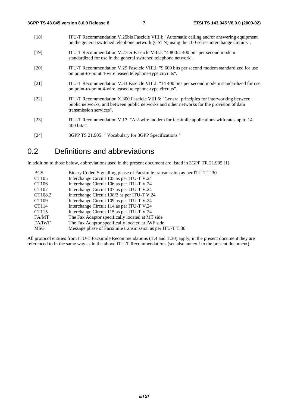- [18] ITU-T Recommendation V.25bis Fascicle VIII.l: "Automatic calling and/or answering equipment on the general switched telephone network (GSTN) using the 100-series interchange circuits". [19] ITU-T Recommendation V.27ter Fascicle VIII.l: "4 800/2 400 bits per second modem standardized for use in the general switched telephone network". [20] ITU-T Recommendation V.29 Fascicle VIII.l: "9 600 bits per second modem standardized for use on point-to-point 4-wire leased telephone-type circuits". [21] ITU-T Recommendation V.33 Fascicle VIII.l: "14 400 bits per second modem standardized for use on point-to-point 4-wire leased telephone-type circuits". [22] ITU-T Recommendation X.300 Fascicle VIII.6: "General principles for interworking between public networks, and between public networks and other networks for the provision of data transmission services". [23] ITU-T Recommendation V.17: "A 2-wire modem for facsimile applications with rates up to 14 400 bit/s".
- [24] 3GPP TS 21.905: " Vocabulary for 3GPP Specifications "

# 0.2 Definitions and abbreviations

In addition to those below, abbreviations used in the present document are listed in 3GPP TR 21.905 [1].

| <b>BCS</b>    | Binary Coded Signalling phase of Facsimile transmission as per ITU-T T.30 |
|---------------|---------------------------------------------------------------------------|
| CT105         | Interchange Circuit 105 as per ITU-T V.24                                 |
| CT106         | Interchange Circuit 106 as per ITU-T V.24                                 |
| CT107         | Interchange Circuit 107 as per ITU-T V.24                                 |
| CT108.2       | Interchange Circuit 108/2 as per ITU-T V.24                               |
| CT109         | Interchange Circuit 109 as per ITU-T V.24                                 |
| CT114         | Interchange Circuit 114 as per ITU-T V.24                                 |
| CT115         | Interchange Circuit 115 as per ITU-T V.24                                 |
| FA/MT         | The Fax Adaptor specifically located at MT side                           |
| <b>FA/IWF</b> | The Fax Adaptor specifically located at IWF side                          |
| <b>MSG</b>    | Message phase of Facsimile transmission as per ITU-T T.30                 |

All protocol entities from ITU-T Facsimile Recommendations (T.4 and T.30) apply; in the present document they are referenced to in the same way as in the above ITU-T Recommendations (see also annex I to the present document).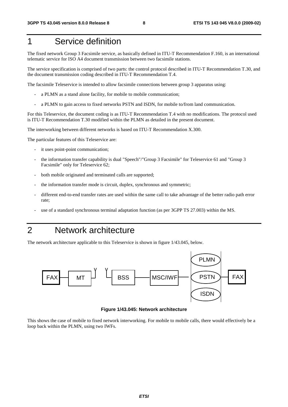# 1 Service definition

The fixed network Group 3 Facsimile service, as basically defined in ITU-T Recommendation F.160, is an international telematic service for ISO A4 document transmission between two facsimile stations.

The service specification is comprised of two parts: the control protocol described in ITU-T Recommendation T.30, and the document transmission coding described in ITU-T Recommendation T.4.

The facsimile Teleservice is intended to allow facsimile connections between group 3 apparatus using:

- a PLMN as a stand alone facility, for mobile to mobile communication;
- a PLMN to gain access to fixed networks PSTN and ISDN, for mobile to/from land communication.

For this Teleservice, the document coding is as ITU-T Recommendation T.4 with no modifications. The protocol used is ITU-T Recommendation T.30 modified within the PLMN as detailed in the present document.

The interworking between different networks is based on ITU-T Recommendation X.300.

The particular features of this Teleservice are:

- it uses point-point communication;
- the information transfer capability is dual "Speech"/"Group 3 Facsimile" for Teleservice 61 and "Group 3 Facsimile" only for Teleservice 62;
- both mobile originated and terminated calls are supported;
- the information transfer mode is circuit, duplex, synchronous and symmetric;
- different end-to-end transfer rates are used within the same call to take advantage of the better radio path error rate;
- use of a standard synchronous terminal adaptation function (as per 3GPP TS 27.003) within the MS.

# 2 Network architecture

The network architecture applicable to this Teleservice is shown in figure 1/43.045, below.



**Figure 1/43.045: Network architecture** 

This shows the case of mobile to fixed network interworking. For mobile to mobile calls, there would effectively be a loop back within the PLMN, using two IWFs.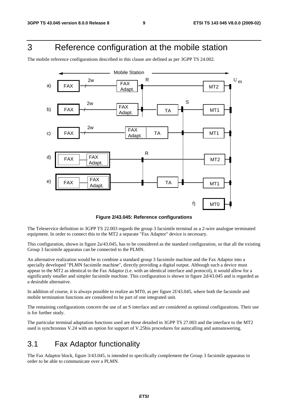# 3 Reference configuration at the mobile station

The mobile reference configurations described in this clause are defined as per 3GPP TS 24.002.



**Figure 2/43.045: Reference configurations** 

The Teleservice definition in 3GPP TS 22.003 regards the group 3 facsimile terminal as a 2-wire analogue terminated equipment. In order to connect this to the MT2 a separate "Fax Adaptor" device is necessary.

This configuration, shown in figure 2a/43.045, has to be considered as the standard configuration, so that all the existing Group 3 facsimile apparatus can be connected to the PLMN.

An alternative realization would be to combine a standard group 3 facsimile machine and the Fax Adaptor into a specially developed "PLMN facsimile machine", directly providing a digital output. Although such a device must appear to the MT2 as identical to the Fax Adaptor (i.e. with an identical interface and protocol), it would allow for a significantly smaller and simpler facsimile machine. This configuration is shown in figure 2d/43.045 and is regarded as a desirable alternative.

In addition of course, it is always possible to realize an MT0, as per figure 2f/43.045, where both the facsimile and mobile termination functions are considered to be part of one integrated unit.

The remaining configurations concern the use of an S interface and are considered as optional configurations. Their use is for further study.

The particular terminal adaptation functions used are those detailed in 3GPP TS 27.003 and the interface to the MT2 used is synchronous V.24 with an option for support of V.25bis procedures for autocalling and autoanswering.

# 3.1 Fax Adaptor functionality

The Fax Adaptor block, figure 3/43.045, is intended to specifically complement the Group 3 facsimile apparatus in order to be able to communicate over a PLMN.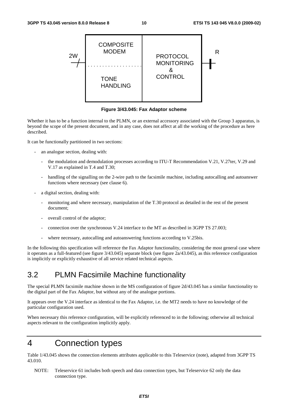

**Figure 3/43.045: Fax Adaptor scheme** 

Whether it has to be a function internal to the PLMN, or an external accessory associated with the Group 3 apparatus, is beyond the scope of the present document, and in any case, does not affect at all the working of the procedure as here described.

It can be functionally partitioned in two sections:

- an analogue section, dealing with:
	- the modulation and demodulation processes according to ITU-T Recommendation V.21, V.27ter, V.29 and V.17 as explained in T.4 and T.30;
	- handling of the signalling on the 2-wire path to the facsimile machine, including autocalling and autoanswer functions where necessary (see clause 6).
- a digital section, dealing with:
	- monitoring and where necessary, manipulation of the T.30 protocol as detailed in the rest of the present document;
	- overall control of the adaptor;
	- connection over the synchronous V.24 interface to the MT as described in 3GPP TS 27.003;
	- where necessary, autocalling and autoanswering functions according to V.25bis.

In the following this specification will reference the Fax Adaptor functionality, considering the most general case where it operates as a full-featured (see figure 3/43.045) separate block (see figure 2a/43.045), as this reference configuration is implicitly or explicitly exhaustive of all service related technical aspects.

# 3.2 PLMN Facsimile Machine functionality

The special PLMN facsimile machine shown in the MS configuration of figure 2d/43.045 has a similar functionality to the digital part of the Fax Adaptor, but without any of the analogue portions.

It appears over the V.24 interface as identical to the Fax Adaptor, i.e. the MT2 needs to have no knowledge of the particular configuration used.

When necessary this reference configuration, will be explicitly referenced to in the following; otherwise all technical aspects relevant to the configuration implicitly apply.

# 4 Connection types

Table 1/43.045 shows the connection elements attributes applicable to this Teleservice (note), adapted from 3GPP TS 43.010.

NOTE: Teleservice 61 includes both speech and data connection types, but Teleservice 62 only the data connection type.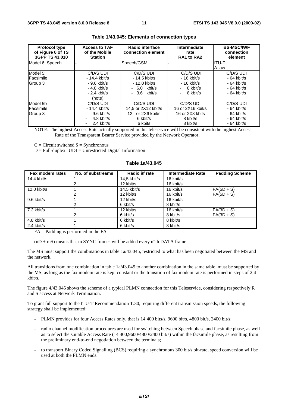| <b>Protocol type</b><br>of Figure 6 of TS<br>3GPP TS 43.010 | <b>Access to TAF</b><br>of the Mobile<br><b>Station</b>                                 | Radio interface<br>connection element                                           | Intermediate<br>rate<br>RA1 to RA2                                        | <b>BS-MSC/IWF</b><br>connection<br>element                                |
|-------------------------------------------------------------|-----------------------------------------------------------------------------------------|---------------------------------------------------------------------------------|---------------------------------------------------------------------------|---------------------------------------------------------------------------|
| Model 6: Speech                                             |                                                                                         | Speech/GSM                                                                      |                                                                           | IITU-T<br>A-law                                                           |
| Model 5:<br>Facsimile<br>Group 3                            | C/D/S UDI<br>$-14.4$ kbit/s<br>- 9.6 kbit/s<br>$-4.8$ kbit/s<br>$-2.4$ kbit/s<br>(note) | C/D/S UDI<br>- 14.5 kbit/s<br>- 12.0 kbit/s<br>$-6.0$ kbit/s<br>$-3.6$ kbit/s   | C/D/S UDI<br>$-16$ kbit/s<br>$-16$ kbit/s<br>8 kbit/s<br>8 kbit/s         | C/D/S UDI<br>$-64$ kbit/s<br>$-64$ kbit/s<br>$-64$ kbit/s<br>$-64$ kbit/s |
| Model 5b<br>Facsimile<br>Group 3                            | C/D/S UDI<br>$-14.4$ kbit/s<br>$9.6$ kbit/s<br>4.8 kbit/s<br>2.4 kbit/s<br>٠            | C/D/S UDI<br>14,5 or 2X12 kbit/s<br>or 2X6 kbit/s<br>12.<br>6 kbit/s<br>6 kbits | C/D/S UDI<br>16 or 2X16 kbit/s<br>16 or 2X8 kbits<br>8 kbit/s<br>8 kbit/s | C/D/S UDI<br>$-64$ kbit/s<br>$-64$ kbit/s<br>$-64$ kbit/s<br>$-64$ kbit/s |

#### **Table 1/43.045: Elements of connection types**

NOTE: The highest Access Rate actually supported in this teleservice will be consistent with the highest Access Rate of the Transparent Bearer Service provided by the Network Operator.

 $C =$  Circuit switched  $S =$  Synchronous

 $D = Full-duplex$   $UDI = Unrestricted Digital Information$ 

#### **Table 1a/43.045**

| Fax modem rates | No. of substreams | Radio i/f rate | <b>Intermediate Rate</b> | <b>Padding Scheme</b> |
|-----------------|-------------------|----------------|--------------------------|-----------------------|
| 14.4 kbit/s     |                   | $14.5$ kbit/s  | 16 kbit/s                |                       |
|                 |                   | 12 kbit/s      | 16 kbit/s                |                       |
| 12.0 kbit/s     |                   | $14.5$ kbit/s  | 16 kbit/s                | $FA(5D + S)$          |
|                 |                   | 12 kbit/s      | 16 kbit/s                | $FA(5D + S)$          |
| 9.6 kbit/s      |                   | 12 kbit/s      | 16 kbit/s                |                       |
|                 | 2                 | 6 kbit/s       | 8 kbit/s                 |                       |
| $7.2$ kbit/s    |                   | 12 kbit/s      | 16 kbit/s                | $FA(3D + S)$          |
|                 |                   | 6 kbit/s       | 8 kbit/s                 | $FA(3D + S)$          |
| 4.8 kbit/s      |                   | 6 kbit/s       | 8 kbit/s                 |                       |
| $2.4$ kbit/s    |                   | 6 kbit/s       | 8 kbit/s                 |                       |

 $FA =$  Padding is performed in the  $FA$ 

 $(nD + mS)$  means that m SYNC frames will be added every n"th DATA frame

The MS must support the combinations in table 1a/43.045, restricted to what has been negotiated between the MS and the network.

All transitions from one combination in table 1a/43.045 to another combination in the same table, must be supported by the MS, as long as the fax modem rate is kept constant or the transition of fax modem rate is performed in steps of 2,4 kbit/s.

The figure 4/43.045 shows the scheme of a typical PLMN connection for this Teleservice, considering respectively R and S access at Network Termination.

To grant full support to the ITU-T Recommendation T.30, requiring different transmission speeds, the following strategy shall be implemented:

- PLMN provides for four Access Rates only, that is 14 400 bits/s, 9600 bit/s, 4800 bit/s, 2400 bit/s;
- radio channel modification procedures are used for switching between Speech phase and facsimile phase, as well as to select the suitable Access Rate (14 400,9600/4800/2400 bit/s) within the facsimile phase, as resulting from the preliminary end-to-end negotiation between the terminals;
- to transport Binary Coded Signalling (BCS) requiring a synchronous 300 bit/s bit-rate, speed conversion will be used at both the PLMN ends.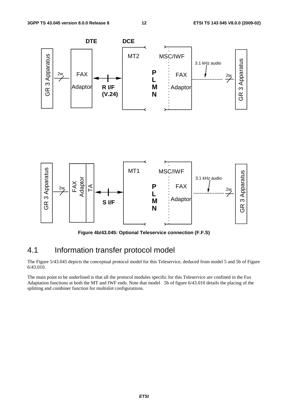

**Figure 4b/43.045: Optional Teleservice connection (F.F.S)** 

# 4.1 Information transfer protocol model

The Figure 5/43.045 depicts the conceptual protocol model for this Teleservice, deduced from model 5 and 5b of Figure 6/43.010.

The main point to be underlined is that all the protocol modules specific for this Teleservice are confined in the Fax Adaptation functions at both the MT and IWF ends. Note that model 5b of figure 6/43.010 details the placing of the splitting and combiner function for multislot configurations.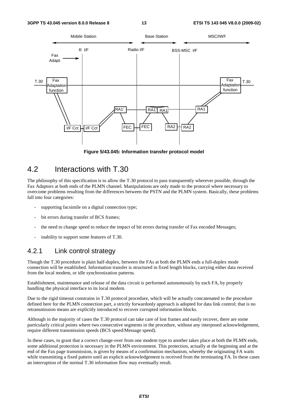

**Figure 5/43.045: Information transfer protocol model** 

# 4.2 Interactions with T.30

The philosophy of this specification is to allow the T.30 protocol to pass transparently wherever possible, through the Fax Adaptors at both ends of the PLMN channel. Manipulations are only made to the protocol where necessary to overcome problems resulting from the differences between the PSTN and the PLMN system. Basically, these problems fall into four categories:

- supporting facsimile on a digital connection type;
- bit errors during transfer of BCS frames:
- the need to change speed to reduce the impact of bit errors during transfer of Fax encoded Messages;
- inability to support some features of T.30.

# 4.2.1 Link control strategy

Though the T.30 procedure is plain half-duplex, between the FAs at both the PLMN ends a full-duplex mode connection will be established. Information transfer is structured in fixed length blocks, carrying either data received from the local modem, or idle synchronization patterns.

Establishment, maintenance and release of the data circuit is performed autonomously by each FA, by properly handling the physical interface to its local modem.

Due to the rigid timeout constrains in T.30 protocol procedure, which will be actually concatenated to the procedure defined here for the PLMN connection part, a strictly forwardonly approach is adopted for data link control; that is no retransmission means are explicitly introduced to recover corrupted information blocks.

Although in the majority of cases the T.30 protocol can take care of lost frames and easily recover, there are some particularly critical points where two consecutive segments in the procedure, without any interposed acknowledgement, require different transmission speeds (BCS speed/Message speed).

In these cases, to grant that a correct change-over from one modem type to another takes place at both the PLMN ends, some additional protection is necessary in the PLMN environment. This protection, actually at the beginning and at the end of the Fax page transmission, is given by means of a confirmation mechanism, whereby the originating FA waits while transmitting a fixed pattern until an explicit acknowledgement is received from the terminating FA. In these cases an interruption of the normal T.30 information flow may eventually result.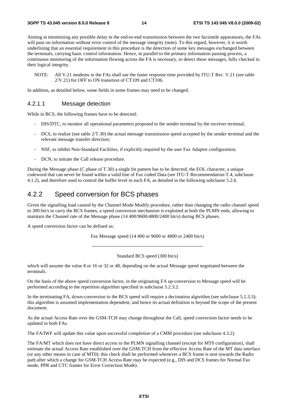Aiming at minimizing any possible delay in the end-to-end transmission between the two facsimile apparatuses, the FAs will pass on information without error control of the message integrity (note). To this regard, however, it is worth underlining that an essential requirement in this procedure is the detection of some key messages exchanged between the terminals, carrying basic control information. Hence, in parallel to the primary information passing process, a continuous monitoring of the information flowing across the FA is necessary, to detect these messages, fully checked in their logical integrity.

NOTE: All V.21 modems in the FAs shall use the faster response time provided by ITU-T Rec. V.21 (see table 2/V.21) for OFF to ON transition of CT109 and CT106.

In addition, as detailed below, some fields in some frames may need to be changed.

#### 4.2.1.1 Message detection

While in BCS, the following frames have to be detected:

- DIS/DTC, to monitor all operational parameters proposed to the sender terminal by the receiver terminal;
- DCS, to realize (see table  $2/T.30$ ) the actual message transmission speed accepted by the sender terminal and the relevant message transfer direction;
- NSF, to inhibit Non-Standard Facilities, if explicitly required by the user Fax Adaptor configuration;
- DCN, to initiate the Call release procedure.

During the Message phase (C phase of T.30) a single bit pattern has to be detected, the EOL character, a unique codeword that can never be found within a valid line of Fax coded Data (see ITU-T Recommendation T.4, subclause 4.1.2), and therefore used to control the buffer level in each FA, as detailed in the following subclause 5.2.6.

### 4.2.2 Speed conversion for BCS phases

Given the signalling load caused by the Channel Mode Modify procedure, rather than changing the radio channel speed to 300 bit/s to carry the BCS frames, a speed conversion mechanism is exploited at both the PLMN ends, allowing to maintain the Channel rate of the Message phase (14 400/9600/4800/2400 bit/s) during BCS phases.

A speed conversion factor can be defined as:

Fax Message speed (14 400 or 9600 or 4800 or 2400 bit/s)

---------------------------------------------------------------------

Standard BCS speed (300 bit/s)

which will assume the value 8 or 16 or 32 or 48, depending on the actual Message speed negotiated between the terminals.

On the basis of the above speed conversion factor, in the originating FA up-conversion to Message speed will be performed according to the repetition algorithm specified in subclause 5.2.3.2.

In the terminating FA, down-conversion to the BCS speed will require a decimation algorithm (see subclause 5.2.3.3); this algorithm is assumed implementation dependent, and hence its actual definition is beyond the scope of the present document.

As the actual Access Rate over the GSM-TCH may change throughout the Call, speed conversion factor needs to be updated in both FAs.

The FA/IWF will update this value upon successful completion of a CMM procedure (see subclause 4.3.2).

The FA/MT which does not have direct access to the PLMN signalling channel (except for MT0 configuration), shall estimate the actual Access Rate established over the GSM-TCH from the effective Access Rate of the MT data interface (or any other means in case of MT0); this check shall be performed whenever a BCS frame is sent towards the Radio path after which a change for GSM-TCH Access Rate may be expected (e.g., DIS and DCS frames for Normal Fax mode, PPR and CTC frames for Error Correction Mode).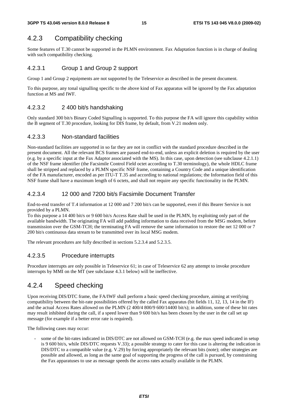# 4.2.3 Compatibility checking

Some features of T.30 cannot be supported in the PLMN environment. Fax Adaptation function is in charge of dealing with such compatibility checking.

#### 4.2.3.1 Group 1 and Group 2 support

Group 1 and Group 2 equipments are not supported by the Teleservice as described in the present document.

To this purpose, any tonal signalling specific to the above kind of Fax apparatus will be ignored by the Fax adaptation function at MS and IWF.

### 4.2.3.2 2 400 bit/s handshaking

Only standard 300 bit/s Binary Coded Signalling is supported. To this purpose the FA will ignore this capability within the B segment of T.30 procedure, looking for DIS frame, by default, from V.21 modem only.

#### 4.2.3.3 Non-standard facilities

Non-standard facilities are supported in so far they are not in conflict with the standard procedure described in the present document. All the relevant BCS frames are passed end-to-end, unless an explicit deletion is required by the user (e.g. by a specific input at the Fax Adaptor associated with the MS). In this case, upon detection (see subclause 4.2.1.1) of the NSF frame identifier (the Facsimile Control Field octet according to T.30 terminology), the whole HDLC frame shall be stripped and replaced by a PLMN specific NSF frame, containing a Country Code and a unique identification of the FA manufacturer, encoded as per ITU-T T.35 and according to national regulations; the Information field of this NSF frame shall have a maximum length of 6 octets, and shall not require any specific functionality in the PLMN.

#### 4.2.3.4 12 000 and 7200 bit/s Facsimile Document Transfer

End-to-end transfer of T.4 information at 12 000 and 7 200 bit/s can be supported, even if this Bearer Service is not provided by a PLMN.

To this purpose a 14 400 bit/s or 9 600 bit/s Access Rate shall be used in the PLMN, by exploiting only part of the available bandwidth. The originating FA will add padding information to data received from the MSG modem, before transmission over the GSM-TCH; the terminating FA will remove the same information to restore the net 12 000 or 7 200 bit/s continuous data stream to be transmitted over its local MSG modem.

The relevant procedures are fully described in sections 5.2.3.4 and 5.2.3.5.

### 4.2.3.5 Procedure interrupts

Procedure interrupts are only possible in Teleservice 61; in case of Teleservice 62 any attempt to invoke procedure interrupts by MMI on the MT (see subclause 4.3.1 below) will be ineffective.

# 4.2.4 Speed checking

Upon receiving DIS/DTC frame, the FA/IWF shall perform a basic speed checking procedure, aiming at verifying compatibility between the bit-rate possibilities offered by the called Fax apparatus (bit fields 11, 12, 13, 14 in the IF) and the actual Access Rates allowed on the PLMN (2 400/4 800/9 600/14400 bit/s); in addition, some of these bit rates may result inhibited during the call, if a speed lower than 9 600 bit/s has been chosen by the user in the call set up message (for example if a better error rate is required).

The following cases may occur:

some of the bit-rates indicated in DIS/DTC are not allowed on GSM-TCH (e.g. the max speed indicated in setup is 9 600 bit/s, while DIS/DTC requests V.33); a possible strategy to cater for this case is altering the indication in DIS/DTC to a compatible value (e.g. V.29) by forcing appropriately the relevant bits (note); other strategies are possible and allowed, as long as the same goal of supporting the progress of the call is pursued, by constraining the Fax apparatuses to use as message speeds the access rates actually available in the PLMN.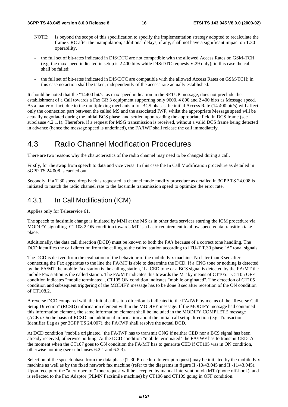- NOTE: Is beyond the scope of this specification to specify the implementation strategy adopted to recalculate the frame CRC after the manipulation; additional delays, if any, shall not have a significant impact on T.30 operability.
- the full set of bit-rates indicated in DIS/DTC are not compatible with the allowed Access Rates on GSM-TCH (e.g. the max speed indicated in setup is 2 400 bit/s while DIS/DTC requests V.29 only); in this case the call shall be failed;
- the full set of bit-rates indicated in DIS/DTC are compatible with the allowed Access Rates on GSM-TCH; in this case no action shall be taken, independently of the access rate actually established.

It should be noted that the "14400 bit/s" as max speed indication in the SETUP message, does not preclude the establishment of a Call towards a Fax GR 3 equipment supporting only 9600, 4 800 and 2 400 bit/s as Message speed. As a matter of fact, due to the multiplexing mechanism for BCS phases the initial Access Rate (14 400 bit/s) will affect only the connection part between the called MS and the associated IWF, whilst the appropriate Message speed will be actually negotiated during the initial BCS phase, and settled upon reading the appropriate field in DCS frame (see subclause 4.2.1.1). Therefore, if a request for MSG transmission is received, without a valid DCS frame being detected in advance (hence the message speed is undefined), the FA/IWF shall release the call immediately.

# 4.3 Radio Channel Modification Procedures

There are two reasons why the characteristics of the radio channel may need to be changed during a call.

Firstly, for the swap from speech to data and vice versa. In this case the In Call Modification procedure as detailed in 3GPP TS 24.008 is carried out.

Secondly, if a T.30 speed drop back is requested, a channel mode modify procedure as detailed in 3GPP TS 24.008 is initiated to match the radio channel rate to the facsimile transmission speed to optimize the error rate.

## 4.3.1 In Call Modification (ICM)

Applies only for Teleservice 61.

The speech to facsimile change is initiated by MMI at the MS as in other data services starting the ICM procedure via MODIFY signalling. CT108.2 ON condition towards MT is a basic requirement to allow speech/data transition take place.

Additionally, the data call direction (DCD) must be known to both the FA's because of a correct tone handling. The DCD identifies the call direction from the calling to the called station according to ITU-T T.30 phase "A" tonal signals.

The DCD is derived from the evaluation of the behaviour of the mobile Fax machine. No later than 3 sec after connecting the Fax apparatus to the line the FA/MT is able to determine the DCD. If a CNG tone or nothing is detected by the FA/MT the mobile Fax station is the calling station, if a CED tone or a BCS signal is detected by the FA/MT the mobile Fax station is the called station. The FA/MT indicates this towards the MT by means of CT105: CT105 OFF condition indicates "mobile terminated", CT105 ON condition indicates "mobile originated". The detection of CT105 condition and subsequent triggering of the MODIFY message has to be done 3 sec after reception of the ON condition of CT108.2.

A reverse DCD compared with the initial call setup direction is indicated to the FA/IWF by means of the "Reverse Call Setup Direction" (RCSD) information element within the MODIFY message. If the MODIFY message had contained this information element, the same information element shall be included in the MODIFY COMPLETE message (ACK). On the basis of RCSD and additional information about the initial call setup direction (e.g. Transaction Identifier flag as per 3GPP TS 24.007), the FA/IWF shall resolve the actual DCD.

At DCD condition "mobile originated" the FA/IWF has to transmit CNG if neither CED nor a BCS signal has been already received, otherwise nothing. At the DCD condition "mobile terminated" the FA/IWF has to transmit CED. At the moment when the CT107 goes to ON condition the FA/MT has to generate CED if CT105 was in ON condition, otherwise nothing (see subclauses 6.2.1 and 6.2.3).

Selection of the speech phase from the data phase (T.30 Procedure Interrupt request) may be initiated by the mobile Fax machine as well as by the fixed network fax machine (refer to the diagrams in figure II.-10/43.045 and II.-11/43.045). Upon receipt of the "alert operator" tone request will be accepted by manual intervention via MT (phone off-hook), and is reflected to the Fax Adaptor (PLMN Facsimile machine) by CT106 and CT109 going in OFF condition.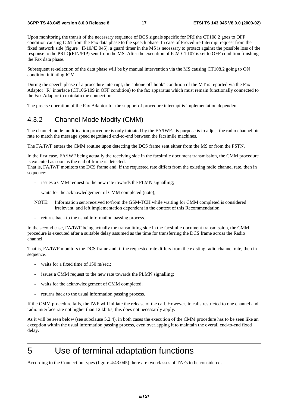#### **3GPP TS 43.045 version 8.0.0 Release 8 17 ETSI TS 143 045 V8.0.0 (2009-02)**

Upon monitoring the transit of the necessary sequence of BCS signals specific for PRI the CT108.2 goes to OFF condition causing ICM from the Fax data phase to the speech phase. In case of Procedure Interrupt request from the fixed network side (figure II-10/43.045), a guard timer in the MS is necessary to protect against the possible loss of the response to the PRI-Q(PIN/PIP) sent from the MS. After the execution of ICM CT107 is set to OFF condition finishing the Fax data phase.

Subsequent re-selection of the data phase will be by manual intervention via the MS causing CT108.2 going to ON condition initiating ICM.

During the speech phase of a procedure interrupt, the "phone off-hook" condition of the MT is reported via the Fax Adaptor "R" interface (CT106/109 in OFF condition) to the fax apparatus which must remain functionally connected to the Fax Adaptor to maintain the connection.

The precise operation of the Fax Adaptor for the support of procedure interrupt is implementation dependent.

### 4.3.2 Channel Mode Modify (CMM)

The channel mode modification procedure is only initiated by the FA/IWF. Its purpose is to adjust the radio channel bit rate to match the message speed negotiated end-to-end between the facsimile machines.

The FA/IWF enters the CMM routine upon detecting the DCS frame sent either from the MS or from the PSTN.

In the first case, FA/IWF being actually the receiving side in the facsimile document transmission, the CMM procedure is executed as soon as the end of frame is detected.

That is, FA/IWF monitors the DCS frame and, if the requested rate differs from the existing radio channel rate, then in sequence:

- issues a CMM request to the new rate towards the PLMN signalling;
- waits for the acknowledgement of CMM completed (note);
- NOTE: Information sent/received to/from the GSM-TCH while waiting for CMM completed is considered irrelevant, and left implementation dependent in the context of this Recommendation.
- returns back to the usual information passing process.

In the second case, FA/IWF being actually the transmitting side in the facsimile document transmission, the CMM procedure is executed after a suitable delay assumed as the time for transferring the DCS frame across the Radio channel.

That is, FA/IWF monitors the DCS frame and, if the requested rate differs from the existing radio channel rate, then in sequence:

- waits for a fixed time of 150 m/sec.;
- issues a CMM request to the new rate towards the PLMN signalling;
- waits for the acknowledgement of CMM completed;
- returns back to the usual information passing process.

If the CMM procedure fails, the IWF will initiate the release of the call. However, in calls restricted to one channel and radio interface rate not higher than 12 kbit/s, this does not necessarily apply.

As it will be seen below (see subclause 5.2.4), in both cases the execution of the CMM procedure has to be seen like an exception within the usual information passing process, even overlapping it to maintain the overall end-to-end fixed delay.

# 5 Use of terminal adaptation functions

According to the Connection types (figure 4/43.045) there are two classes of TAFs to be considered.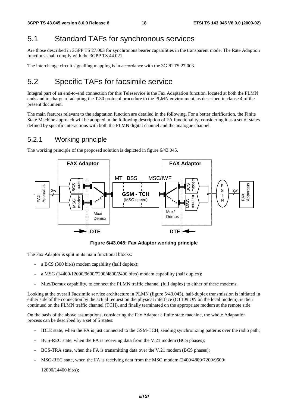# 5.1 Standard TAFs for synchronous services

Are those described in 3GPP TS 27.003 for synchronous bearer capabilities in the transparent mode. The Rate Adaption functions shall comply with the 3GPP TS 44.021.

The interchange circuit signalling mapping is in accordance with the 3GPP TS 27.003.

# 5.2 Specific TAFs for facsimile service

Integral part of an end-to-end connection for this Teleservice is the Fax Adaptation function, located at both the PLMN ends and in charge of adapting the T.30 protocol procedure to the PLMN environment, as described in clause 4 of the present document.

The main features relevant to the adaptation function are detailed in the following. For a better clarification, the Finite State Machine approach will be adopted in the following description of FA functionality, considering it as a set of states defined by specific interactions with both the PLMN digital channel and the analogue channel.

### 5.2.1 Working principle

The working principle of the proposed solution is depicted in figure 6/43.045.



**Figure 6/43.045: Fax Adaptor working principle** 

The Fax Adaptor is split in its main functional blocks:

- a BCS (300 bit/s) modem capability (half duplex);
- a MSG (14400/12000/9600/7200/4800/2400 bit/s) modem capability (half duplex);
- Mux/Demux capability, to connect the PLMN traffic channel (full duplex) to either of these modems.

Looking at the overall Facsimile service architecture in PLMN (figure 5/43.045), half-duplex transmission is initiated in either side of the connection by the actual request on the physical interface (CT109 ON on the local modem), is then continued on the PLMN traffic channel (TCH), and finally terminated on the appropriate modem at the remote side.

On the basis of the above assumptions, considering the Fax Adaptor a finite state machine, the whole Adaptation process can be described by a set of 5 states:

- IDLE state, when the FA is just connected to the GSM-TCH, sending synchronizing patterns over the radio path;
- BCS-REC state, when the FA is receiving data from the V.21 modem (BCS phases);
- BCS-TRA state, when the FA is transmitting data over the V.21 modem (BCS phases);
- MSG-REC state, when the FA is receiving data from the MSG modem (2400/4800/7200/9600/

12000/14400 bit/s);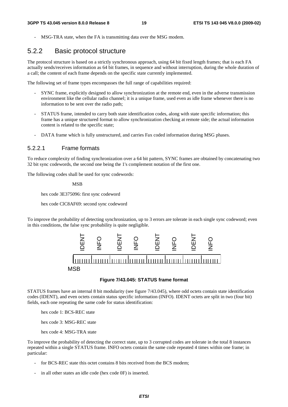MSG-TRA state, when the FA is transmitting data over the MSG modem.

# 5.2.2 Basic protocol structure

The protocol structure is based on a strictly synchronous approach, using 64 bit fixed length frames; that is each FA actually sends/receives information as 64 bit frames, in sequence and without interruption, during the whole duration of a call; the content of each frame depends on the specific state currently implemented.

The following set of frame types encompasses the full range of capabilities required:

- SYNC frame, explicitly designed to allow synchronization at the remote end, even in the adverse transmission environment like the cellular radio channel; it is a unique frame, used even as idle frame whenever there is no information to be sent over the radio path;
- STATUS frame, intended to carry both state identification codes, along with state specific information; this frame has a unique structured format to allow synchronization checking at remote side; the actual information content is related to the specific state;
- DATA frame which is fully unstructured, and carries Fax coded information during MSG phases.

#### 5.2.2.1 Frame formats

To reduce complexity of finding synchronization over a 64 bit pattern, SYNC frames are obtained by concatenating two 32 bit sync codewords, the second one being the 1's complement notation of the first one.

The following codes shall be used for sync codewords:

MSB

hex code 3E375096: first sync codeword

hex code ClC8AF69: second sync codeword

To improve the probability of detecting synchronization, up to 3 errors are tolerate in each single sync codeword; even in this conditions, the false sync probability is quite negligible.



#### **Figure 7/43.045: STATUS frame format**

STATUS frames have an internal 8 bit modularity (see figure 7/43.045), where odd octets contain state identification codes (IDENT), and even octets contain status specific information (INFO). IDENT octets are split in two (four bit) fields, each one repeating the same code for status identification:

hex code 1: BCS-REC state

hex code 3: MSG-REC state

hex code 4: MSG-TRA state

To improve the probability of detecting the correct state, up to 3 corrupted codes are tolerate in the total 8 instances repeated within a single STATUS frame. INFO octets contain the same code repeated 4 times within one frame; in particular:

- for BCS-REC state this octet contains 8 bits received from the BCS modem;
- in all other states an idle code (hex code 0F) is inserted.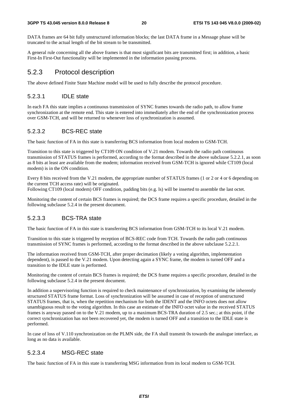DATA frames are 64 bit fully unstructured information blocks; the last DATA frame in a Message phase will be truncated to the actual length of the bit stream to be transmitted.

A general rule concerning all the above frames is that most significant bits are transmitted first; in addition, a basic First-In First-Out functionality will be implemented in the information passing process.

### 5.2.3 Protocol description

The above defined Finite State Machine model will be used to fully describe the protocol procedure.

#### 5.2.3.1 IDLE state

In each FA this state implies a continuous transmission of SYNC frames towards the radio path, to allow frame synchronization at the remote end. This state is entered into immediately after the end of the synchronization process over GSM-TCH, and will be returned to whenever loss of synchronization is assumed.

#### 5.2.3.2 BCS-REC state

The basic function of FA in this state is transferring BCS information from local modem to GSM-TCH.

Transition to this state is triggered by CT109 ON condition of V.21 modem. Towards the radio path continuous transmission of STATUS frames is performed, according to the format described in the above subclause 5.2.2.1, as soon as 8 bits at least are available from the modem; information received from GSM-TCH is ignored while CT109 (local modem) is in the ON condition.

Every 8 bits received from the V.21 modem, the appropriate number of STATUS frames (1 or 2 or 4 or 6 depending on the current TCH access rate) will be originated.

Following CT109 (local modem) OFF condition, padding bits (e.g. ls) will be inserted to assemble the last octet.

Monitoring the content of certain BCS frames is required; the DCS frame requires a specific procedure, detailed in the following subclause 5.2.4 in the present document.

#### 5.2.3.3 BCS-TRA state

The basic function of FA in this state is transferring BCS information from GSM-TCH to its local V.21 modem.

Transition to this state is triggered by reception of BCS-REC code from TCH. Towards the radio path continuous transmission of SYNC frames is performed, according to the format described in the above subclause 5.2.2.1.

The information received from GSM-TCH, after proper decimation (likely a voting algorithm, implementation dependent), is passed to the V.21 modem. Upon detecting again a SYNC frame, the modem is turned OFF and a transition to the IDLE state is performed.

Monitoring the content of certain BCS frames is required; the DCS frame requires a specific procedure, detailed in the following subclause 5.2.4 in the present document.

In addition a supervisoring function is required to check maintenance of synchronization, by examining the inherently structured STATUS frame format. Loss of synchronization will be assumed in case of reception of unstructured STATUS frames, that is, when the repetition mechanism for both the IDENT and the INFO octets does not allow unambiguous result to the voting algorithm. In this case an estimate of the INFO octet value in the received STATUS frames is anyway passed on to the V.21 modem, up to a maximum BCS-TRA duration of 2.5 sec.; at this point, if the correct synchronization has not been recovered yet, the modem is turned OFF and a transition to the IDLE state is performed.

In case of loss of V.110 synchronization on the PLMN side, the FA shall transmit 0s towards the analogue interface, as long as no data is available.

#### 5.2.3.4 MSG-REC state

The basic function of FA in this state is transferring MSG information from its local modem to GSM-TCH.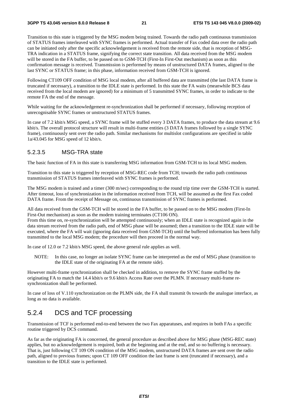Transition to this state is triggered by the MSG modem being trained. Towards the radio path continuous transmission of STATUS frames interleaved with SYNC frames is performed. Actual transfer of Fax coded data over the radio path can be initiated only after the specific acknowledgement is received from the remote side, that is reception of MSG-TRA indication in a STATUS frame, signifying the correct state transition. All data received from the MSG modem will be stored in the FA buffer, to be passed on to GSM-TCH (First-In First-Out mechanism) as soon as this confirmation message is received. Transmission is performed by means of unstructured DATA frames, aligned to the last SYNC or STATUS frame; in this phase, information received from GSM-TCH is ignored.

Following CT109 OFF condition of MSG local modem, after all buffered data are transmitted (the last DATA frame is truncated if necessary), a transition to the IDLE state is performed. In this state the FA waits (meanwhile BCS data received from the local modem are ignored) for a minimum of 5 transmitted SYNC frames, in order to indicate to the remote FA the end of the message.

While waiting for the acknowledgement re-synchronization shall be performed if necessary, following reception of unrecognisable SYNC frames or unstructured STATUS frames.

In case of 7.2 kbit/s MSG speed, a SYNC frame will be stuffed every 3 DATA frames, to produce the data stream at 9.6 kbit/s. The overall protocol structure will result in multi-frame entities (3 DATA frames followed by a single SYNC frame), continuously sent over the radio path. Similar mechanisms for multislot configurations are specified in table 1a/43.045 for MSG speed of 12 kbit/s.

#### 5.2.3.5 MSG-TRA state

The basic function of FA in this state is transferring MSG information from GSM-TCH to its local MSG modem.

Transition to this state is triggered by reception of MSG-REC code from TCH; towards the radio path continuous transmission of STATUS frames interleaved with SYNC frames is performed.

The MSG modem is trained and a timer (300 m/sec) corresponding to the round trip time over the GSM-TCH is started. After timeout, loss of synchronization in the information received from TCH, will be assumed as the first Fax coded DATA frame. From the receipt of Message on, continuous transmission of SYNC frames is performed.

All data received from the GSM-TCH will be stored in the FA buffer, to be passed on to the MSG modem (First-In First-Out mechanism) as soon as the modem training terminates (CT106 ON).

From this time on, re-synchronization will be attempted continuously; when an IDLE state is recognized again in the data stream received from the radio path, end of MSG phase will be assumed; then a transition to the IDLE state will be executed, where the FA will wait (ignoring data received from GSM-TCH) until the buffered information has been fully transmitted to the local MSG modem; the procedure will then proceed in the normal way.

In case of 12.0 or 7.2 kbit/s MSG speed, the above general rule applies as well.

NOTE: In this case, no longer an isolate SYNC frame can be interpreted as the end of MSG phase (transition to the IDLE state of the originating FA at the remote side).

However multi-frame synchronization shall be checked in addition, to remove the SYNC frame stuffed by the originating FA to match the 14.4 kbit/s or 9.6 kbit/s Access Rate over the PLMN. If necessary multi-frame resynchronization shall be performed.

In case of loss of V.110 synchronization on the PLMN side, the FA shall transmit 0s towards the analogue interface, as long as no data is available.

### 5.2.4 DCS and TCF processing

Transmission of TCF is performed end-to-end between the two Fax apparatuses, and requires in both FAs a specific routine triggered by DCS command.

As far as the originating FA is concerned, the general procedure as described above for MSG phase (MSG-REC state) applies, but no acknowledgement is required, both at the beginning and at the end, and so no buffering is necessary. That is, just following CT 109 ON condition of the MSG modem, unstructured DATA frames are sent over the radio path, aligned to previous frames; upon CT 109 OFF condition the last frame is sent (truncated if necessary), and a transition to the IDLE state is performed.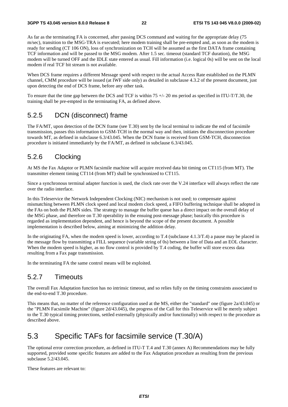As far as the terminating FA is concerned, after passing DCS command and waiting for the appropriate delay (75 m/sec), transition to the MSG-TRA is executed; here modem training shall be pre-empted and, as soon as the modem is ready for sending (CT 106 ON), loss of synchronization on TCH will be assumed as the first DATA frame containing TCF information and will be passed to the MSG modem. After 1.5 sec. timeout (standard TCF duration), the MSG modem will be turned OFF and the IDLE state entered as usual. Fill information (i.e. logical 0s) will be sent on the local modem if real TCF bit stream is not available.

When DCS frame requires a different Message speed with respect to the actual Access Rate established on the PLMN channel, CMM procedure will be issued (at IWF side only) as detailed in subclause 4.3.2 of the present document, just upon detecting the end of DCS frame, before any other task.

To ensure that the time gap between the DCS and TCF is within  $75 +/20$  ms period as specified in ITU-T/T.30, the training shall be pre-empted in the terminating FA, as defined above.

# 5.2.5 DCN (disconnect) frame

The FA/MT, upon detection of the DCN frame (see T.30) sent by the local terminal to indicate the end of facsimile transmission, passes this information to GSM-TCH in the normal way and then, initiates the disconnection procedure towards MT, as defined in subclause 6.3/43.045. When the DCN frame is received from GSM-TCH, disconnection procedure is initiated immediately by the FA/MT, as defined in subclause 6.3/43.045.

### 5.2.6 Clocking

At MS the Fax Adaptor or PLMN facsimile machine will acquire received data bit timing on CT115 (from MT). The transmitter element timing CT114 (from MT) shall be synchronized to CT115.

Since a synchronous terminal adapter function is used, the clock rate over the V.24 interface will always reflect the rate over the radio interface.

In this Teleservice the Network Independent Clocking (NIC) mechanism is not used; to compensate against mismatching between PLMN clock speed and local modem clock speed, a FIFO buffering technique shall be adopted in the FAs on both the PLMN sides. The strategy to manage the buffer queue has a direct impact on the overall delay of the MSG phase, and therefore on T.30 operability in the ensuing post-message phase; basically this procedure is regarded as implementation dependent, and hence is beyond the scope of the present document. A possible implementation is described below, aiming at minimizing the addition delay.

In the originating FA, when the modem speed is lower, according to T.4 (subclause 4.1.3/T.4) a pause may be placed in the message flow by transmitting a FILL sequence (variable string of 0s) between a line of Data and an EOL character. When the modem speed is higher, as no flow control is provided by T.4 coding, the buffer will store excess data resulting from a Fax page transmission.

In the terminating FA the same control means will be exploited.

### 5.2.7 Timeouts

The overall Fax Adaptation function has no intrinsic timeout, and so relies fully on the timing constraints associated to the end-to-end T.30 procedure.

This means that, no matter of the reference configuration used at the MS, either the "standard" one (figure 2a/43.045) or the "PLMN Facsimile Machine" (figure 2d/43.045), the progress of the Call for this Teleservice will be merely subject to the T.30 typical timing protections, settled externally (physically and/or functionally) with respect to the procedure as described above.

# 5.3 Specific TAFs for facsimile service (T.30/A)

The optional error correction procedure, as defined in ITU-T T.4 and T.30 (annex A) Recommendations may be fully supported, provided some specific features are added to the Fax Adaptation procedure as resulting from the previous subclause 5.2/43.045.

These features are relevant to: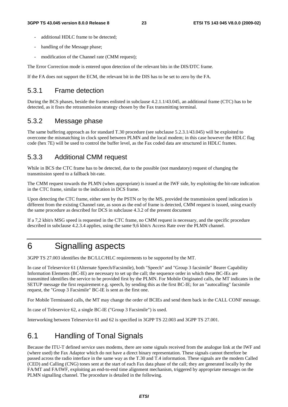- additional HDLC frame to be detected:
- handling of the Message phase;
- modification of the Channel rate (CMM request);

The Error Correction mode is entered upon detection of the relevant bits in the DIS/DTC frame.

If the FA does not support the ECM, the relevant bit in the DIS has to be set to zero by the FA.

### 5.3.1 Frame detection

During the BCS phases, beside the frames enlisted in subclause 4.2.1.1/43.045, an additional frame (CTC) has to be detected, as it fixes the retransmission strategy chosen by the Fax transmitting terminal.

### 5.3.2 Message phase

The same buffering approach as for standard T.30 procedure (see subclause 5.2.3.1/43.045) will be exploited to overcome the mismatching in clock speed between PLMN and the local modem; in this case however the HDLC flag code (hex 7E) will be used to control the buffer level, as the Fax coded data are structured in HDLC frames.

# 5.3.3 Additional CMM request

While in BCS the CTC frame has to be detected, due to the possible (not mandatory) request of changing the transmission speed to a fallback bit-rate.

The CMM request towards the PLMN (when appropriate) is issued at the IWF side, by exploiting the bit-rate indication in the CTC frame, similar to the indication in DCS frame.

Upon detecting the CTC frame, either sent by the PSTN or by the MS, provided the transmission speed indication is different from the existing Channel rate, as soon as the end of frame is detected, CMM request is issued, using exactly the same procedure as described for DCS in subclause 4.3.2 of the present document

If a 7,2 kbit/s MSG speed is requested in the CTC frame, no CMM request is necessary, and the specific procedure described in subclause 4.2.3.4 applies, using the same 9,6 kbit/s Access Rate over the PLMN channel.

# 6 Signalling aspects

3GPP TS 27.003 identifies the BC/LLC/HLC requirements to be supported by the MT.

In case of Teleservice 61 (Alternate Speech/Facsimile), both "Speech" and "Group 3 facsimile" Bearer Capability Information Elements (BC-IE) are necessary to set up the call; the sequence order in which these BC-IEs are transmitted identifies the service to be provided first by the PLMN. For Mobile Originated calls, the MT indicates in the SETUP message the first requirement e.g. speech, by sending this as the first BC-IE; for an "autocalling" facsimile request, the "Group 3 Facsimile" BC-IE is sent as the first one.

For Mobile Terminated calls, the MT may change the order of BCIEs and send them back in the CALL CONF message.

In case of Teleservice 62, a single BC-IE ("Group 3 Facsimile") is used.

Interworking between Teleservice 61 and 62 is specified in 3GPP TS 22.003 and 3GPP TS 27.001.

# 6.1 Handling of Tonal Signals

Because the ITU-T defined service uses modems, there are some signals received from the analogue link at the IWF and (where used) the Fax Adaptor which do not have a direct binary representation. These signals cannot therefore be passed across the radio interface in the same way as the T.30 and T.4 information. These signals are the modem Called (CED) and Calling (CNG) tones sent at the start of each Fax data phase of the call; they are generated locally by the FA/MT and FA/IWF, exploiting an end-to-end time alignment mechanism, triggered by appropriate messages on the PLMN signalling channel. The procedure is detailed in the following.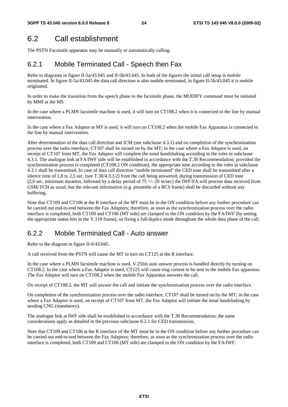# 6.2 Call establishment

The PSTN Facsimile apparatus may be manually or automatically calling.

# 6.2.1 Mobile Terminated Call - Speech then Fax

Refer to diagrams in figure II-5a/43.045 and II-5b/43.045. In both of the figures the initial call setup is mobile terminated. In figure II-5a/43.045 the data call direction is also mobile terminated, in figure II-5b/43.045 it is mobile originated.

In order to make the transition from the speech phase to the facsimile phase, the MODIFY command must be initiated by MMI at the MS

In the case where a PLMN facsimile machine is used, it will turn on CT108.2 when it is connected to the line by manual intervention.

In the case where a Fax Adaptor at MT is used, it will turn on CT108.2 when the mobile Fax Apparatus is connected to the line by manual intervention.

After determination of the data call direction and ICM (see subclause 4.3.1) and on completion of the synchronization process over the radio interface, CT107 shall be turned on by the MT; in the case where a Fax Adaptor is used, on receipt of CT107 from MT, the Fax Adaptor will complete the tonal handshaking according to the rules in subclause 4.3.1. The analogue link at FA/IWF side will be established in accordance with the T.30 Recommendation; provided the synchronization process is completed (CT108.2 ON condition), the appropriate tone according to the rules in subclause 4.3.1 shall be transmitted. In case of data call direction "mobile terminated" the CED tone shall be transmitted after a silence time of 1,8 to 2,5 sec. (see T.30/4.3.3.2) from the call being answered; during transmission of CED tone (2,6 sec. minimum duration, followed by a delay period of  $75 +/- 20$  m/sec) the IWF/FA will process data received from GSM-TCH as usual, but the relevant information (e.g. preamble of a BCS frame) shall be discarded without any buffering.

Note that CT109 and CT106 at the R interface of the MT must be in the ON condition before any further procedure can be carried out end-to-end between the Fax Adaptors; therefore, as soon as the synchronization process over the radio interface is completed, both CT109 and CT106 (MT side) are clamped to the ON condition by the FA/IWF (by setting the appropriate status bits in the V.110 frame), so fixing a full-duplex mode throughout the whole data phase of the call.

# 6.2.2 Mobile Terminated Call - Auto answer

Refer to the diagram in figure II-6/43.045.

A call received from the PSTN will cause the MT to turn on CT125 at the R interface.

In the case where a PLMN facsimile machine is used, V.25bis auto answer process is handled directly by turning on CT108.2. In the case where a Fax Adaptor is used, CT125 will cause ring current to be sent to the mobile Fax apparatus. The Fax Adaptor will turn on CT108.2 when the mobile Fax Apparatus answers the call.

On receipt of CT108.2, the MT will answer the call and initiate the synchronization process over the radio interface.

On completion of the synchronization process over the radio interface, CT107 shall be turned on by the MT; in the case where a Fax Adaptor is used, on receipt of CT107 from MT, the Fax Adaptor will initiate the tonal handshaking by sending CNG (mandatory).

The analogue link at IWF side shall be established in accordance with the T.30 Recommendation; the same considerations apply as detailed in the previous subclause 6.2.1 for CED transmission.

Note that CT109 and CT106 at the R interface of the MT must be in the ON condition before any further procedure can be carried out end-to-end between the Fax Adaptors; therefore, as soon as the synchronization process over the radio interface is completed, both CT109 and CT106 (MT side) are clamped to the ON condition by the FA/IWF.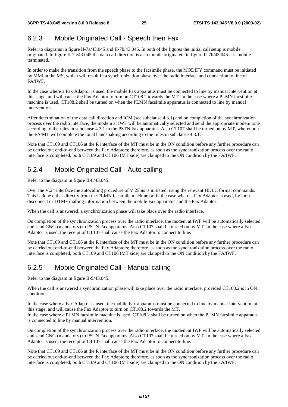# 6.2.3 Mobile Originated Call - Speech then Fax

Refer to diagrams in figure II-7a/43.045 and II-7b/43.045. In both of the figures the initial call setup is mobile originated. In figure II-7a/43.045 the data call direction is also mobile originated, in figure II-7b/43.045 it is mobile terminated.

In order to make the transition from the speech phase to the facsimile phase, the MODIFY command must be initiated by MMI at the MS, which will result in a synchronization phase over the radio interface and connection to line of FA/IWF.

In the case where a Fax Adaptor is used, the mobile Fax apparatus must be connected to line by manual intervention at this stage, and will cause the Fax Adaptor to turn on CT108.2 towards the MT. In the case where a PLMN facsimile machine is used, CT108.2 shall be turned on when the PLMN facsimile apparatus is connected to line by manual intervention.

After determination of the data call direction and ICM (see subclause 4.3.1) and on completion of the synchronization process over the radio interface, the modem at IWF will be automatically selected and send the appropriate modem tone according to the rules in subclause 4.3.1 to the PSTN Fax apparatus. Also CT107 shall be turned on by MT, whereupon the FA/MT will complete the tonal handshaking according to the rules in subclause 4.3.1.

Note that CT109 and CT106 at the R interface of the MT must be in the ON condition before any further procedure can be carried out end-to-end between the Fax Adaptors; therefore, as soon as the synchronization process over the radio interface is completed, both CT109 and CT106 (MT side) are clamped to the ON condition by the FA/IWF.

# 6.2.4 Mobile Originated Call - Auto calling

Refer to the diagram in figure II-8/43.045.

Over the V.24 interface the autocalling procedure of V.25bis is initiated, using the relevant HDLC format commands. This is done either directly from the PLMN facsimile machine or, in the case where a Fax Adaptor is used, by loop disconnect or DTMF dialling information between the mobile Fax apparatus and the Fax Adaptor.

When the call is answered, a synchronization phase will take place over the radio interface.

On completion of the synchronization process over the radio interface, the modem at IWF will be automatically selected and send CNG (mandatory) to PSTN Fax apparatus. Also CT107 shall be turned on by MT. In the case where a Fax Adaptor is used, the receipt of CT107 shall cause the Fax Adaptor to connect to line.

Note that CT109 and CT106 at the R interface of the MT must be in the ON condition before any further procedure can be carried out end-to-end between the Fax Adaptors; therefore, as soon as the synchronization process over the radio interface is completed, both CT109 and CT106 (MT side) are clamped to the ON condition by the FA/IWF.

# 6.2.5 Mobile Originated Call - Manual calling

Refer to the diagram in figure II-9/43.045.

When the call is answered a synchronization phase will take place over the radio interface, provided CT108.2 is in ON condition.

In the case where a Fax Adaptor is used, the mobile Fax apparatus must be connected to line by manual intervention at this stage, and will cause the Fax Adaptor to turn on CT108.2 towards the MT.

In the case where a PLMN facsimile machine is used, CT108.2 shall be turned on when the PLMN facsimile apparatus is connected to line by manual intervention.

On completion of the synchronization process over the radio interface, the modem at IWF will be automatically selected and send CNG (mandatory) to PSTN Fax apparatus. Also CT107 shall be turned on by MT. In the case where a Fax Adaptor is used, the receipt of CT107 shall cause the Fax Adaptor to connect to line.

Note that CT109 and CT106 at the R interface of the MT must be in the ON condition before any further procedure can be carried out end-to-end between the Fax Adaptors; therefore, as soon as the synchronization process over the radio interface is completed, both CT109 and CT106 (MT side) are clamped to the ON condition by the FA/IWF.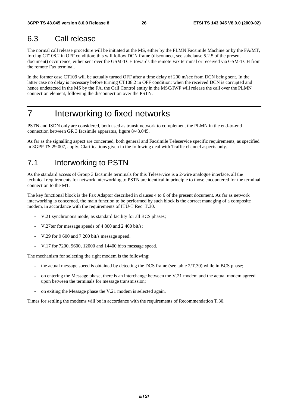# 6.3 Call release

The normal call release procedure will be initiated at the MS, either by the PLMN Facsimile Machine or by the FA/MT, forcing CT108.2 in OFF condition; this will follow DCN frame (disconnect, see subclause 5.2.5 of the present document) occurrence, either sent over the GSM-TCH towards the remote Fax terminal or received via GSM-TCH from the remote Fax terminal.

In the former case CT109 will be actually turned OFF after a time delay of 200 m/sec from DCN being sent. In the latter case no delay is necessary before turning CT108.2 in OFF condition; when the received DCN is corrupted and hence undetected in the MS by the FA, the Call Control entity in the MSC/IWF will release the call over the PLMN connection element, following the disconnection over the PSTN.

# 7 Interworking to fixed networks

PSTN and ISDN only are considered, both used as transit network to complement the PLMN in the end-to-end connection between GR 3 facsimile apparatus, figure 8/43.045.

As far as the signalling aspect are concerned, both general and Facsimile Teleservice specific requirements, as specified in 3GPP TS 29.007, apply. Clarifications given in the following deal with Traffic channel aspects only.

# 7.1 Interworking to PSTN

As the standard access of Group 3 facsimile terminals for this Teleservice is a 2-wire analogue interface, all the technical requirements for network interworking to PSTN are identical in principle to those encountered for the terminal connection to the MT.

The key functional block is the Fax Adaptor described in clauses 4 to 6 of the present document. As far as network interworking is concerned, the main function to be performed by such block is the correct managing of a composite modem, in accordance with the requirements of ITU-T Rec. T.30.

- V.21 synchronous mode, as standard facility for all BCS phases;
- V.27ter for message speeds of 4 800 and 2 400 bit/s;
- V.29 for 9 600 and 7 200 bit/s message speed.
- V.17 for 7200, 9600, 12000 and 14400 bit/s message speed.

The mechanism for selecting the right modem is the following:

- the actual message speed is obtained by detecting the DCS frame (see table  $2/T.30$ ) while in BCS phase;
- on entering the Message phase, there is an interchange between the V.21 modem and the actual modem agreed upon between the terminals for message transmission;
- on exiting the Message phase the V.21 modem is selected again.

Times for settling the modems will be in accordance with the requirements of Recommendation T.30.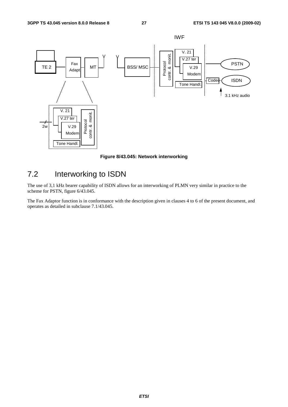

**Figure 8/43.045: Network interworking** 

# 7.2 Interworking to ISDN

The use of 3,1 kHz bearer capability of ISDN allows for an interworking of PLMN very similar in practice to the scheme for PSTN, figure 6/43.045.

The Fax Adaptor function is in conformance with the description given in clauses 4 to 6 of the present document, and operates as detailed in subclause 7.1/43.045.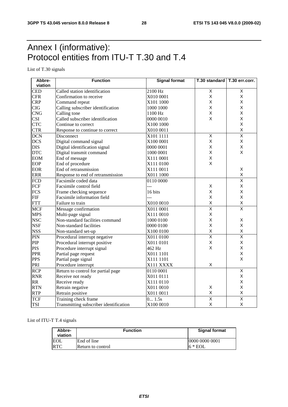# Annex I (informative): Protocol entities from ITU-T T.30 and T.4

List of T.30 signals

| Abbre-           | <b>Function</b>                        | <b>Signal format</b> | T.30 standard   T.30 err.corr. |                         |
|------------------|----------------------------------------|----------------------|--------------------------------|-------------------------|
| viation          |                                        |                      |                                |                         |
| <b>CED</b>       | Called station identification          | 2100 Hz              | $\overline{X}$                 | Χ                       |
| <b>CFR</b>       | Confirmation to receive                | X010 0001            | $\mathsf{X}$                   | X                       |
| <b>CRP</b>       | Command repeat                         | X101 1000            | X                              | X                       |
| <b>CIG</b>       | Calling subscriber identification      | 1000 1000            | X                              | X                       |
| <b>CNG</b>       | Calling tone                           | 1100 Hz              | X                              | X                       |
| <b>CSI</b>       | Called subscriber identification       | 0000 0010            | X                              | X                       |
| <b>CTC</b>       | Continue to correct                    | X100 1000            |                                | X                       |
| <b>CTR</b>       | Response to continue to correct        | X010 0011            |                                | X                       |
| <b>DCN</b>       | Disconnect                             | X101 1111            | $\overline{\mathsf{x}}$        | $\overline{\mathsf{x}}$ |
| <b>DCS</b>       | Digital command signal                 | X100 0001            | X                              | Χ                       |
| <b>DIS</b>       | Digital identification signal          | 0000 0001            | X                              | Χ                       |
| <b>DTC</b>       | Digital transmit command               | 1000 0001            | $\mathsf X$                    | X                       |
| <b>EOM</b>       | End of message                         | X111 0001            | X                              |                         |
| <b>EOP</b>       | End of procedure                       | X111 0100            | $\pmb{\times}$                 |                         |
| <b>EOR</b>       | End of retransmission                  | X111 0011            |                                | Χ                       |
| <b>ERR</b>       | Response to end of retransmission      | X011 1000            |                                | X                       |
| <b>FCD</b>       | Facsimile coded data                   | 0110 0000            |                                | $\overline{\mathsf{x}}$ |
| FCF              | Facsimile control field                | 5                    | X                              | Χ                       |
| <b>FCS</b>       | Frame checking sequence                | 16 bits              | X                              | X                       |
| <b>FIF</b>       | Facsimile information field            | ---                  | $\sf X$                        | X                       |
| <b>FTT</b>       | Failure to train                       | X010 0010            | $\mathsf{X}$                   | $\sf X$                 |
| <b>MCF</b>       | Message confirmation                   | X011 0001            | $\overline{\mathsf{x}}$        | $\overline{\mathsf{x}}$ |
| <b>MPS</b>       | Multi-page signal                      | X111 0010            | X                              |                         |
| <b>NSC</b>       | Non-standard facilities command        | 1000 0100            | $\sf X$                        | X                       |
| <b>NSF</b>       | Non-standard facilities                | 0000 0100            | $\mathsf{x}$                   | X                       |
| <b>NSS</b>       | Non-standard set-up                    | X100 0100            | $\sf X$                        | X                       |
| PIN              | Procedural interrupt negative          | X011 0100            | $\overline{\mathsf{X}}$        | $\overline{\mathsf{x}}$ |
| PIP              | Procedural interrupt positive          | X011 0101            | X                              | X                       |
| <b>PIS</b>       | Procedure interrupt signal             | 462 Hz               | $\pmb{\times}$                 | X                       |
| <b>PPR</b>       | Partial page request                   | X011 1101            |                                | X                       |
| <b>PPS</b>       | Partial page signal                    | X111 1101            |                                | X                       |
| PRI              | Procedure interrupt                    | X111 XXXX            | X                              |                         |
| $\overline{RCP}$ | Return to control for partial page     | 0110 0001            |                                | $\overline{\mathsf{x}}$ |
| <b>RNR</b>       | Receive not ready                      | X011 0111            |                                | X                       |
| <b>RR</b>        | Receive ready                          | X111 0110            |                                | X                       |
| <b>RTN</b>       | Retrain negative                       | X011 0010            | X                              | Χ                       |
| <b>RTP</b>       | Retrain positive                       | X011 0011            | $\mathsf X$                    | X                       |
| <b>TCF</b>       | Training check frame                   | 0 1.5s               | $\overline{\mathsf{x}}$        | $\overline{\mathsf{x}}$ |
| <b>TSI</b>       | Transmitting subscriber identification | X100 0010            | $\sf X$                        | X                       |

#### List of ITU-T T.4 signals

| Abbre-<br>viation | <b>Function</b>          | <b>Signal format</b> |
|-------------------|--------------------------|----------------------|
| <b>EOL</b>        | End of line              | 10000 0000 0001      |
| <b>RTC</b>        | <b>Return to control</b> | $6 * EOL$            |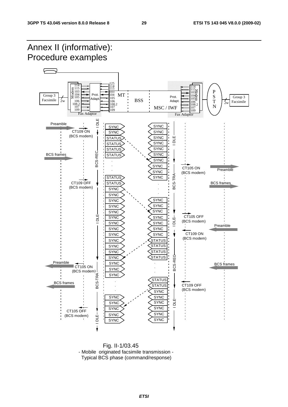

 Fig. II-1/03.45 - Mobile originated facsimile transmission - Typical BCS phase (command/response)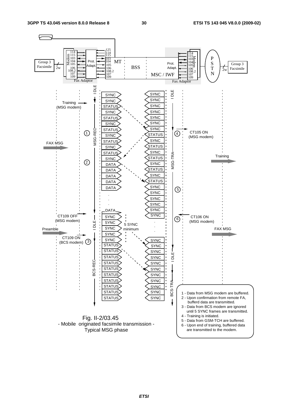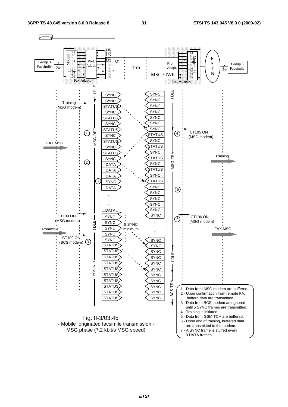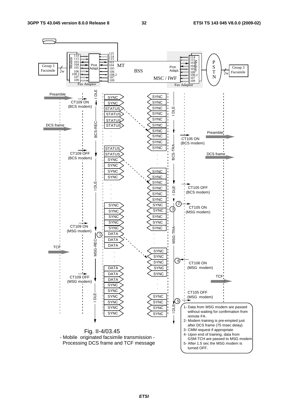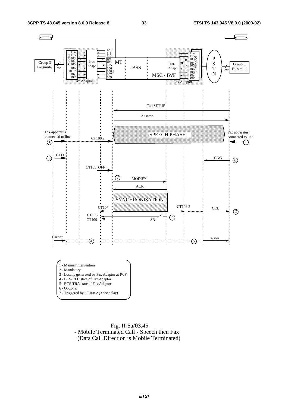

 Fig. II-5a/03.45 - Mobile Terminated Call - Speech then Fax (Data Call Direction is Mobile Terminated)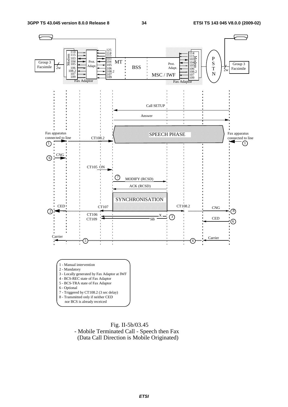

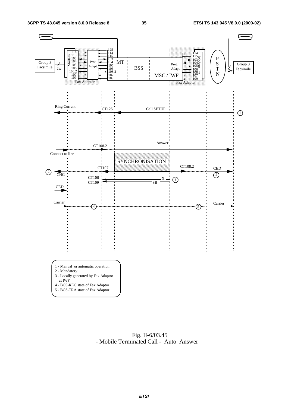

 Fig. II-6/03.45 - Mobile Terminated Call - Auto Answer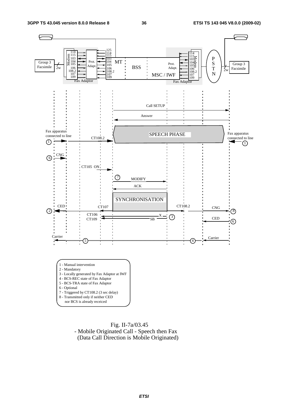

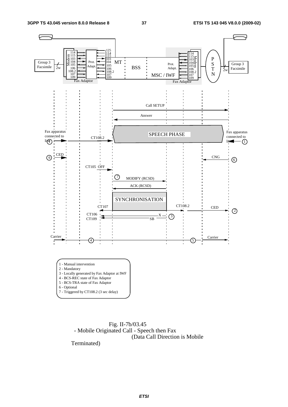

 Fig. II-7b/03.45 - Mobile Originated Call - Speech then Fax (Data Call Direction is Mobile

Terminated)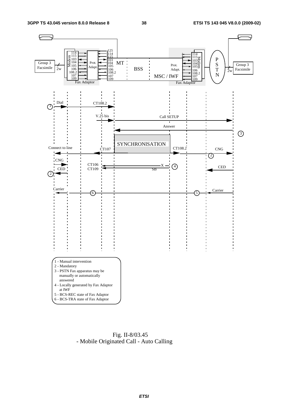

 Fig. II-8/03.45 - Mobile Originated Call - Auto Calling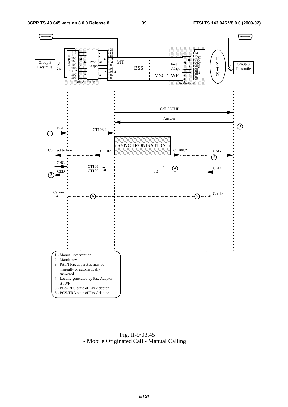

 Fig. II-9/03.45 - Mobile Originated Call - Manual Calling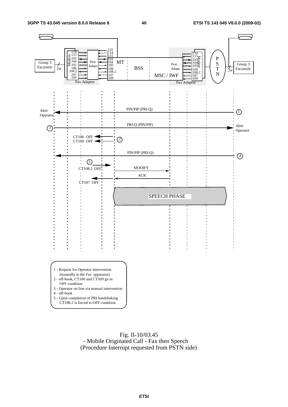

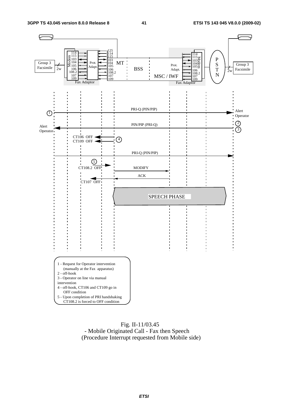

#### Fig. II-11/03.45 - Mobile Originated Call - Fax then Speech (Procedure Interrupt requested from Mobile side)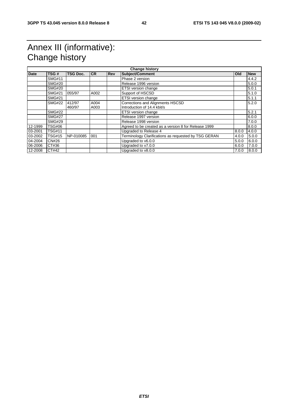# Annex III (informative): Change history

| <b>Date</b> | TSG#          | <b>TSG Doc.</b> | <b>CR</b> | <b>Rev</b> | <b>Subject/Comment</b>                               | <b>Old</b> | <b>New</b> |
|-------------|---------------|-----------------|-----------|------------|------------------------------------------------------|------------|------------|
|             | <b>SMG#11</b> |                 |           |            | Phase 2 version                                      |            | 4.4.2      |
|             | <b>SMG#20</b> |                 |           |            | Release 1996 version                                 |            | 5.0.0      |
|             | <b>SMG#20</b> |                 |           |            | ETSI version change                                  |            | 5.0.1      |
|             | <b>SMG#21</b> | 055/97          | A002      |            | Support of HSCSD                                     |            | 5.1.0      |
|             | <b>SMG#21</b> |                 |           |            | ETSI version change                                  |            | 5.1.1      |
|             | <b>SMG#22</b> | 412/97          | A004      |            | Corrections and Alignments HSCSD                     |            | 5.2.0      |
|             |               | 460/97          | A003      |            | Introduction of 14.4 kbit/s                          |            |            |
|             | <b>SMG#22</b> |                 |           |            | ETSI version change                                  |            | 5.2.1      |
|             | <b>SMG#27</b> |                 |           |            | Release 1997 version                                 |            | 6.0.0      |
|             | <b>SMG#29</b> |                 |           |            | Release 1998 version                                 |            | 7.0.0      |
| 12-1999     | <b>TSG#06</b> |                 |           |            | Agreed to be created as a version 8 for Release 1999 |            | 8.0.0      |
| 03-2001     | <b>TSG#11</b> |                 |           |            | Upgraded to Release 4                                | 8.0.0      | 4.0.0      |
| 03-2002     | <b>TSG#15</b> | NP-010085       | 001       |            | Terminology Clarifications as requested by TSG GERAN | 4.0.0      | 5.0.0      |
| 04-2004     | <b>CN#26</b>  |                 |           |            | Upgraded to v6.0.0                                   | 5.0.0      | 6.0.0      |
| 06-2006     | CT#36         |                 |           |            | Upgraded to v7.0.0                                   | 6.0.0      | 7.0.0      |
| 12-2008     | CT#42         |                 |           |            | Upgraded to v8.0.0                                   | 7.0.0      | 8.0.0      |